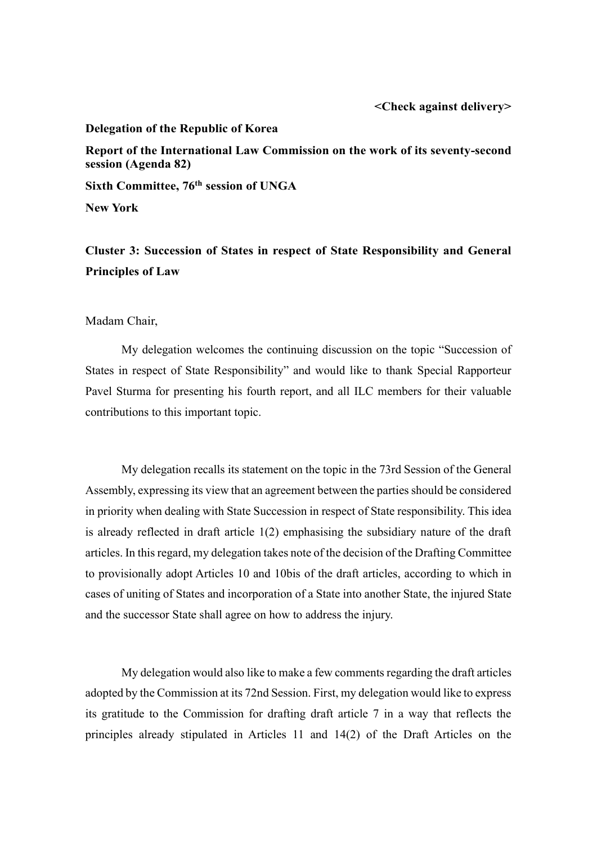## **Delegation of the Republic of Korea**

**Report of the International Law Commission on the work of its seventy-second session (Agenda 82)**

**Sixth Committee, 76th session of UNGA**

**New York**

**Cluster 3: Succession of States in respect of State Responsibility and General Principles of Law**

Madam Chair,

 My delegation welcomes the continuing discussion on the topic "Succession of States in respect of State Responsibility" and would like to thank Special Rapporteur Pavel Sturma for presenting his fourth report, and all ILC members for their valuable contributions to this important topic.

 My delegation recalls its statement on the topic in the 73rd Session of the General Assembly, expressing its view that an agreement between the parties should be considered in priority when dealing with State Succession in respect of State responsibility. This idea is already reflected in draft article  $1(2)$  emphasising the subsidiary nature of the draft articles. In this regard, my delegation takes note of the decision of the Drafting Committee to provisionally adopt Articles 10 and 10bis of the draft articles, according to which in cases of uniting of States and incorporation of a State into another State, the injured State and the successor State shall agree on how to address the injury.

 My delegation would also like to make a few comments regarding the draft articles adopted by the Commission at its 72nd Session. First, my delegation would like to express its gratitude to the Commission for drafting draft article 7 in a way that reflects the principles already stipulated in Articles 11 and 14(2) of the Draft Articles on the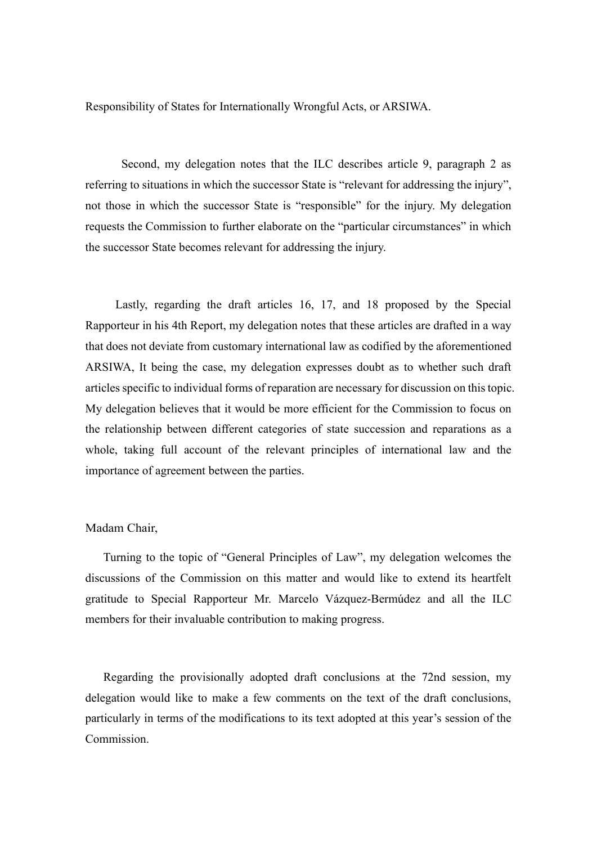Responsibility of States for Internationally Wrongful Acts, or ARSIWA.

 Second, my delegation notes that the ILC describes article 9, paragraph 2 as referring to situations in which the successor State is "relevant for addressing the injury", not those in which the successor State is "responsible" for the injury. My delegation requests the Commission to further elaborate on the "particular circumstances" in which the successor State becomes relevant for addressing the injury.

 Lastly, regarding the draft articles 16, 17, and 18 proposed by the Special Rapporteur in his 4th Report, my delegation notes that these articles are drafted in a way that does not deviate from customary international law as codified by the aforementioned ARSIWA, It being the case, my delegation expresses doubt as to whether such draft articles specific to individual forms of reparation are necessary for discussion on this topic. My delegation believes that it would be more efficient for the Commission to focus on the relationship between different categories of state succession and reparations as a whole, taking full account of the relevant principles of international law and the importance of agreement between the parties.

## Madam Chair,

Turning to the topic of "General Principles of Law", my delegation welcomes the discussions of the Commission on this matter and would like to extend its heartfelt gratitude to Special Rapporteur Mr. Marcelo Vázquez-Bermúdez and all the ILC members for their invaluable contribution to making progress.

Regarding the provisionally adopted draft conclusions at the 72nd session, my delegation would like to make a few comments on the text of the draft conclusions, particularly in terms of the modifications to its text adopted at this year's session of the Commission.